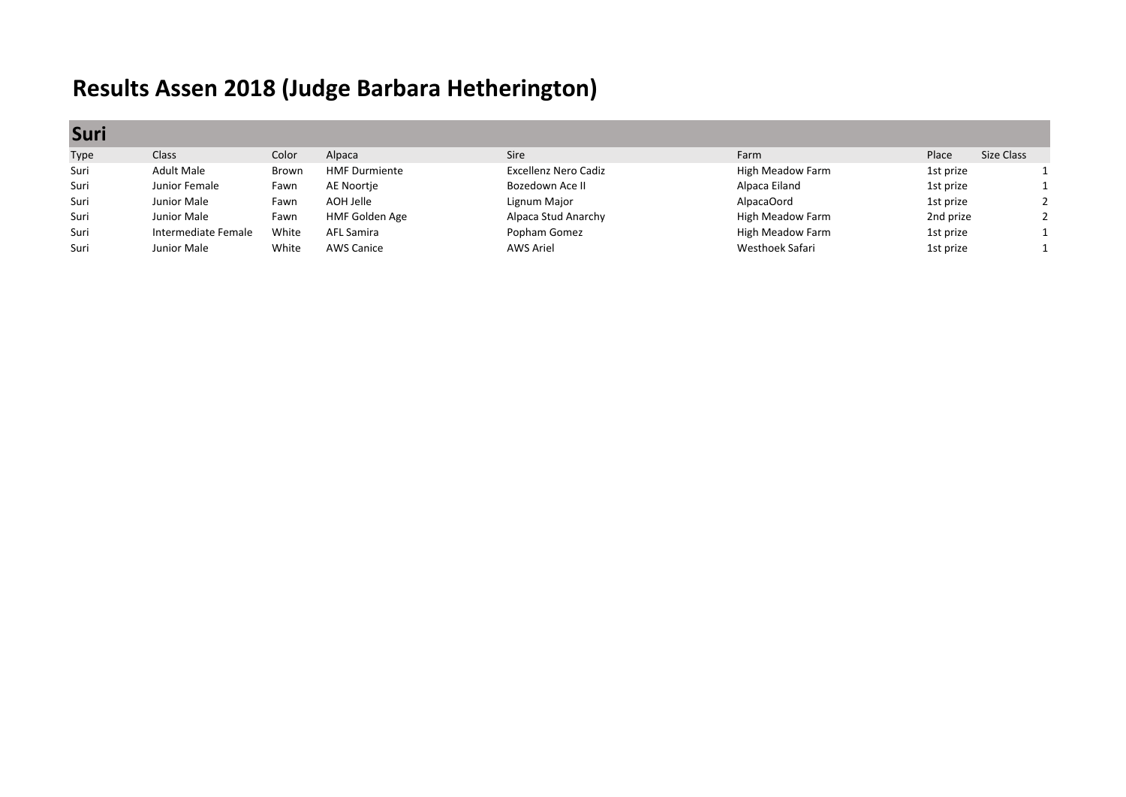## **Results Assen 2018 (Judge Barbara Hetherington)**

**Suri**

| <b>JUIL</b> |                     |       |                      |                             |                  |           |            |
|-------------|---------------------|-------|----------------------|-----------------------------|------------------|-----------|------------|
| Type        | Class <sup>1</sup>  | Color | Alpaca               | <b>Sire</b>                 | Farm             | Place     | Size Class |
| Suri        | Adult Male          | Brown | <b>HMF Durmiente</b> | <b>Excellenz Nero Cadiz</b> | High Meadow Farm | 1st prize |            |
| Suri        | Junior Female       | Fawn  | AE Noortie           | Bozedown Ace II             | Alpaca Eiland    | 1st prize |            |
| Suri        | Junior Male         | Fawn  | AOH Jelle            | Lignum Major                | AlpacaOord       | 1st prize |            |
| Suri        | Junior Male         | Fawn  | HMF Golden Age       | Alpaca Stud Anarchy         | High Meadow Farm | 2nd prize |            |
| Suri        | Intermediate Female | White | AFL Samira           | Popham Gomez                | High Meadow Farm | 1st prize |            |
| Suri        | Junior Male         | White | <b>AWS Canice</b>    | <b>AWS Ariel</b>            | Westhoek Safari  | 1st prize |            |
|             |                     |       |                      |                             |                  |           |            |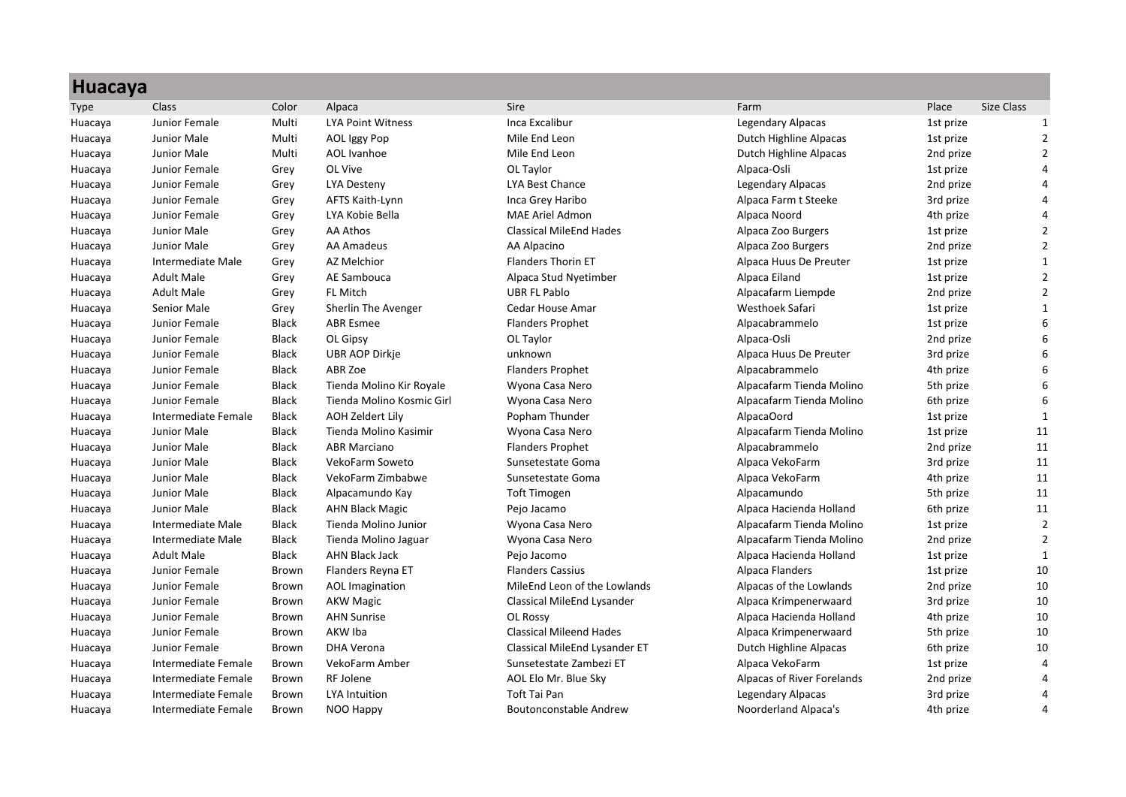| <b>Huacaya</b> |                     |              |                           |                                |                            |           |                   |
|----------------|---------------------|--------------|---------------------------|--------------------------------|----------------------------|-----------|-------------------|
| <b>Type</b>    | Class               | Color        | Alpaca                    | Sire                           | Farm                       | Place     | <b>Size Class</b> |
| Huacaya        | Junior Female       | Multi        | <b>LYA Point Witness</b>  | Inca Excalibur                 | Legendary Alpacas          | 1st prize | $\mathbf{1}$      |
| Huacaya        | Junior Male         | Multi        | <b>AOL Iggy Pop</b>       | Mile End Leon                  | Dutch Highline Alpacas     | 1st prize | $\overline{2}$    |
| Huacaya        | Junior Male         | Multi        | <b>AOL</b> Ivanhoe        | Mile End Leon                  | Dutch Highline Alpacas     | 2nd prize | 2                 |
| Huacaya        | Junior Female       | Grey         | OL Vive                   | OL Taylor                      | Alpaca-Osli                | 1st prize |                   |
| Huacaya        | Junior Female       | Grey         | <b>LYA Desteny</b>        | LYA Best Chance                | Legendary Alpacas          | 2nd prize | $\Delta$          |
| Huacaya        | Junior Female       | Grey         | AFTS Kaith-Lynn           | Inca Grey Haribo               | Alpaca Farm t Steeke       | 3rd prize | 4                 |
| Huacaya        | Junior Female       | Grey         | LYA Kobie Bella           | MAE Ariel Admon                | Alpaca Noord               | 4th prize | $\Delta$          |
| Huacaya        | Junior Male         | Grey         | AA Athos                  | <b>Classical MileEnd Hades</b> | Alpaca Zoo Burgers         | 1st prize | 2                 |
| Huacaya        | Junior Male         | Grey         | <b>AA Amadeus</b>         | AA Alpacino                    | Alpaca Zoo Burgers         | 2nd prize |                   |
| Huacaya        | Intermediate Male   | Grey         | <b>AZ Melchior</b>        | <b>Flanders Thorin ET</b>      | Alpaca Huus De Preuter     | 1st prize | $\mathbf{1}$      |
| Huacaya        | <b>Adult Male</b>   | Grey         | AE Sambouca               | Alpaca Stud Nyetimber          | Alpaca Eiland              | 1st prize | $\mathfrak{p}$    |
| Huacaya        | <b>Adult Male</b>   | Grey         | FL Mitch                  | <b>UBR FL Pablo</b>            | Alpacafarm Liempde         | 2nd prize | $\overline{2}$    |
| Huacaya        | Senior Male         | Grey         | Sherlin The Avenger       | Cedar House Amar               | Westhoek Safari            | 1st prize | $\mathbf 1$       |
| Huacaya        | Junior Female       | <b>Black</b> | <b>ABR Esmee</b>          | <b>Flanders Prophet</b>        | Alpacabrammelo             | 1st prize |                   |
| Huacaya        | Junior Female       | <b>Black</b> | OL Gipsy                  | OL Taylor                      | Alpaca-Osli                | 2nd prize |                   |
| Huacaya        | Junior Female       | <b>Black</b> | UBR AOP Dirkje            | unknown                        | Alpaca Huus De Preuter     | 3rd prize | 6                 |
| Huacaya        | Junior Female       | <b>Black</b> | ABR Zoe                   | <b>Flanders Prophet</b>        | Alpacabrammelo             | 4th prize | 6                 |
| Huacaya        | Junior Female       | <b>Black</b> | Tienda Molino Kir Royale  | Wyona Casa Nero                | Alpacafarm Tienda Molino   | 5th prize | 6                 |
| Huacaya        | Junior Female       | <b>Black</b> | Tienda Molino Kosmic Girl | Wyona Casa Nero                | Alpacafarm Tienda Molino   | 6th prize | 6                 |
| Huacaya        | Intermediate Female | <b>Black</b> | AOH Zeldert Lily          | Popham Thunder                 | AlpacaOord                 | 1st prize | $\mathbf{1}$      |
| Huacaya        | Junior Male         | <b>Black</b> | Tienda Molino Kasimir     | Wyona Casa Nero                | Alpacafarm Tienda Molino   | 1st prize | 11                |
| Huacaya        | Junior Male         | <b>Black</b> | <b>ABR Marciano</b>       | <b>Flanders Prophet</b>        | Alpacabrammelo             | 2nd prize | 11                |
| Huacaya        | Junior Male         | <b>Black</b> | VekoFarm Soweto           | Sunsetestate Goma              | Alpaca VekoFarm            | 3rd prize | 11                |
| Huacaya        | Junior Male         | <b>Black</b> | VekoFarm Zimbabwe         | Sunsetestate Goma              | Alpaca VekoFarm            | 4th prize | 11                |
| Huacaya        | Junior Male         | <b>Black</b> | Alpacamundo Kay           | <b>Toft Timogen</b>            | Alpacamundo                | 5th prize | 11                |
| Huacaya        | Junior Male         | <b>Black</b> | <b>AHN Black Magic</b>    | Pejo Jacamo                    | Alpaca Hacienda Holland    | 6th prize | 11                |
| Huacaya        | Intermediate Male   | <b>Black</b> | Tienda Molino Junior      | Wyona Casa Nero                | Alpacafarm Tienda Molino   | 1st prize | $\overline{2}$    |
| Huacaya        | Intermediate Male   | <b>Black</b> | Tienda Molino Jaguar      | Wyona Casa Nero                | Alpacafarm Tienda Molino   | 2nd prize | $\overline{2}$    |
| Huacaya        | <b>Adult Male</b>   | <b>Black</b> | <b>AHN Black Jack</b>     | Pejo Jacomo                    | Alpaca Hacienda Holland    | 1st prize | $\mathbf{1}$      |
| Huacaya        | Junior Female       | <b>Brown</b> | Flanders Reyna ET         | <b>Flanders Cassius</b>        | Alpaca Flanders            | 1st prize | 10                |
| Huacaya        | Junior Female       | Brown        | <b>AOL</b> Imagination    | MileEnd Leon of the Lowlands   | Alpacas of the Lowlands    | 2nd prize | 10                |
| Huacaya        | Junior Female       | Brown        | <b>AKW Magic</b>          | Classical MileEnd Lysander     | Alpaca Krimpenerwaard      | 3rd prize | 10                |
| Huacaya        | Junior Female       | Brown        | <b>AHN Sunrise</b>        | OL Rossy                       | Alpaca Hacienda Holland    | 4th prize | 10                |
| Huacaya        | Junior Female       | Brown        | AKW Iba                   | <b>Classical Mileend Hades</b> | Alpaca Krimpenerwaard      | 5th prize | 10                |
| Huacaya        | Junior Female       | <b>Brown</b> | DHA Verona                | Classical MileEnd Lysander ET  | Dutch Highline Alpacas     | 6th prize | 10                |
| Huacaya        | Intermediate Female | Brown        | VekoFarm Amber            | Sunsetestate Zambezi ET        | Alpaca VekoFarm            | 1st prize | 4                 |
| Huacaya        | Intermediate Female | <b>Brown</b> | <b>RF Jolene</b>          | AOL Elo Mr. Blue Sky           | Alpacas of River Forelands | 2nd prize | $\overline{4}$    |
| Huacaya        | Intermediate Female | <b>Brown</b> | <b>LYA Intuition</b>      | <b>Toft Tai Pan</b>            | Legendary Alpacas          | 3rd prize | $\overline{a}$    |
| Huacaya        | Intermediate Female | <b>Brown</b> | NOO Happy                 | <b>Boutonconstable Andrew</b>  | Noorderland Alpaca's       | 4th prize | $\Delta$          |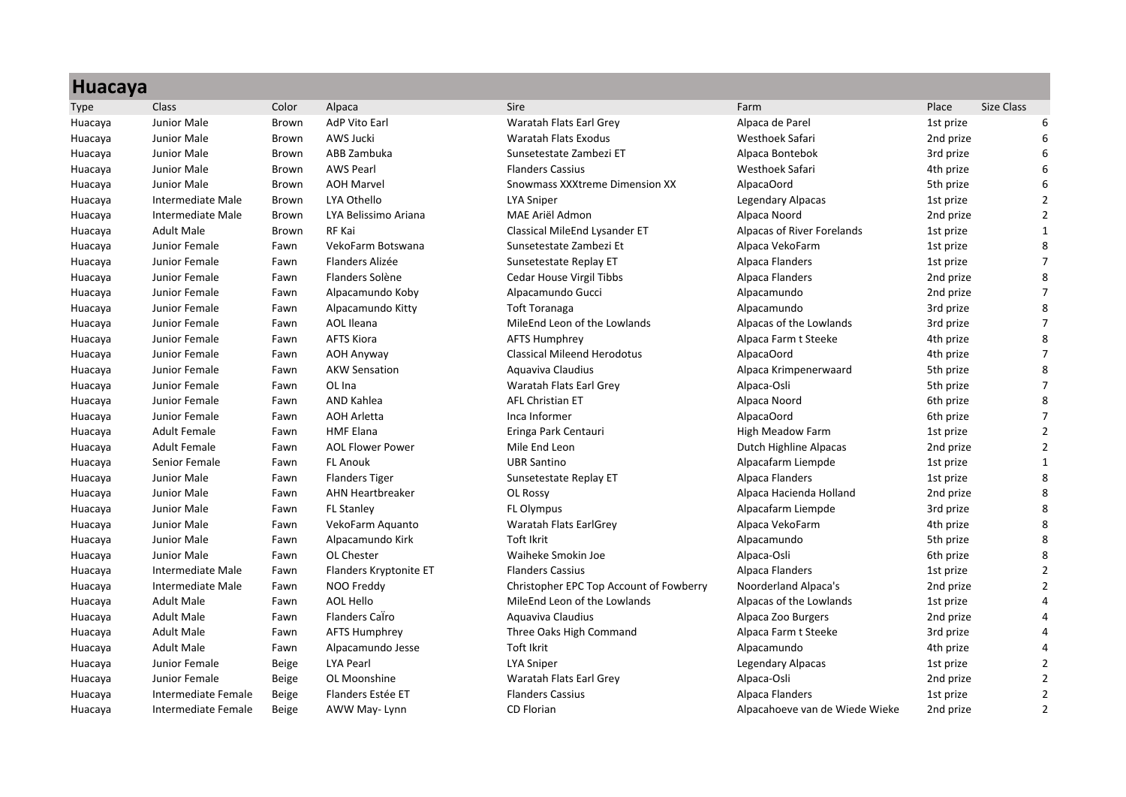| <b>Huacaya</b> |                     |              |                         |                                         |                                |           |                   |
|----------------|---------------------|--------------|-------------------------|-----------------------------------------|--------------------------------|-----------|-------------------|
| <b>Type</b>    | <b>Class</b>        | Color        | Alpaca                  | <b>Sire</b>                             | Farm                           | Place     | <b>Size Class</b> |
| Huacaya        | Junior Male         | Brown        | <b>AdP Vito Earl</b>    | Waratah Flats Earl Grev                 | Alpaca de Parel                | 1st prize | 6                 |
| Huacaya        | Junior Male         | Brown        | AWS Jucki               | Waratah Flats Exodus                    | Westhoek Safari                | 2nd prize | 6                 |
| Huacaya        | Junior Male         | Brown        | ABB Zambuka             | Sunsetestate Zambezi ET                 | Alpaca Bontebok                | 3rd prize | 6                 |
| Huacaya        | Junior Male         | Brown        | <b>AWS Pearl</b>        | <b>Flanders Cassius</b>                 | Westhoek Safari                | 4th prize | 6                 |
| Huacaya        | Junior Male         | <b>Brown</b> | <b>AOH Marvel</b>       | Snowmass XXXtreme Dimension XX          | AlpacaOord                     | 5th prize | 6                 |
| Huacaya        | Intermediate Male   | Brown        | LYA Othello             | <b>LYA Sniper</b>                       | Legendary Alpacas              | 1st prize | $\overline{2}$    |
| Huacaya        | Intermediate Male   | Brown        | LYA Belissimo Ariana    | MAE Ariël Admon                         | Alpaca Noord                   | 2nd prize | $\overline{2}$    |
| Huacaya        | <b>Adult Male</b>   | Brown        | RF Kai                  | Classical MileEnd Lysander ET           | Alpacas of River Forelands     | 1st prize | 1                 |
| Huacaya        | Junior Female       | Fawn         | VekoFarm Botswana       | Sunsetestate Zambezi Et                 | Alpaca VekoFarm                | 1st prize | 8                 |
| Huacaya        | Junior Female       | Fawn         | Flanders Alizée         | Sunsetestate Replay ET                  | Alpaca Flanders                | 1st prize | $\overline{7}$    |
| Huacaya        | Junior Female       | Fawn         | Flanders Solène         | Cedar House Virgil Tibbs                | Alpaca Flanders                | 2nd prize | 8                 |
| Huacaya        | Junior Female       | Fawn         | Alpacamundo Koby        | Alpacamundo Gucci                       | Alpacamundo                    | 2nd prize | $\overline{7}$    |
| Huacaya        | Junior Female       | Fawn         | Alpacamundo Kitty       | <b>Toft Toranaga</b>                    | Alpacamundo                    | 3rd prize | 8                 |
| Huacaya        | Junior Female       | Fawn         | <b>AOL</b> Ileana       | MileEnd Leon of the Lowlands            | Alpacas of the Lowlands        | 3rd prize | $\overline{7}$    |
| Huacaya        | Junior Female       | Fawn         | <b>AFTS Kiora</b>       | <b>AFTS Humphrey</b>                    | Alpaca Farm t Steeke           | 4th prize | 8                 |
| Huacaya        | Junior Female       | Fawn         | <b>AOH Anyway</b>       | <b>Classical Mileend Herodotus</b>      | AlpacaOord                     | 4th prize | $\overline{7}$    |
| Huacaya        | Junior Female       | Fawn         | <b>AKW Sensation</b>    | Aquaviva Claudius                       | Alpaca Krimpenerwaard          | 5th prize | 8                 |
| Huacaya        | Junior Female       | Fawn         | OL Ina                  | Waratah Flats Earl Grey                 | Alpaca-Osli                    | 5th prize | $\overline{7}$    |
| Huacaya        | Junior Female       | Fawn         | <b>AND Kahlea</b>       | <b>AFL Christian ET</b>                 | Alpaca Noord                   | 6th prize | 8                 |
| Huacaya        | Junior Female       | Fawn         | <b>AOH Arletta</b>      | Inca Informer                           | AlpacaOord                     | 6th prize | $\overline{7}$    |
| Huacaya        | <b>Adult Female</b> | Fawn         | <b>HMF Elana</b>        | Eringa Park Centauri                    | High Meadow Farm               | 1st prize | $\overline{2}$    |
| Huacaya        | <b>Adult Female</b> | Fawn         | <b>AOL Flower Power</b> | Mile End Leon                           | Dutch Highline Alpacas         | 2nd prize | $\overline{2}$    |
| Huacaya        | Senior Female       | Fawn         | <b>FL Anouk</b>         | <b>UBR Santino</b>                      | Alpacafarm Liempde             | 1st prize | $\mathbf{1}$      |
| Huacaya        | Junior Male         | Fawn         | <b>Flanders Tiger</b>   | Sunsetestate Replay ET                  | Alpaca Flanders                | 1st prize | 8                 |
| Huacaya        | Junior Male         | Fawn         | <b>AHN Heartbreaker</b> | OL Rossy                                | Alpaca Hacienda Holland        | 2nd prize | 8                 |
| Huacaya        | Junior Male         | Fawn         | <b>FL Stanley</b>       | <b>FL Olympus</b>                       | Alpacafarm Liempde             | 3rd prize | 8                 |
| Huacaya        | Junior Male         | Fawn         | VekoFarm Aquanto        | Waratah Flats EarlGrey                  | Alpaca VekoFarm                | 4th prize | 8                 |
| Huacaya        | Junior Male         | Fawn         | Alpacamundo Kirk        | Toft Ikrit                              | Alpacamundo                    | 5th prize | 8                 |
| Huacaya        | Junior Male         | Fawn         | OL Chester              | Waiheke Smokin Joe                      | Alpaca-Osli                    | 6th prize | 8                 |
| Huacaya        | Intermediate Male   | Fawn         | Flanders Kryptonite ET  | <b>Flanders Cassius</b>                 | Alpaca Flanders                | 1st prize | $\overline{2}$    |
| Huacaya        | Intermediate Male   | Fawn         | NOO Freddy              | Christopher EPC Top Account of Fowberry | Noorderland Alpaca's           | 2nd prize | $\overline{2}$    |
| Huacaya        | <b>Adult Male</b>   | Fawn         | <b>AOL Hello</b>        | MileEnd Leon of the Lowlands            | Alpacas of the Lowlands        | 1st prize | $\overline{a}$    |
| Huacaya        | <b>Adult Male</b>   | Fawn         | Flanders Calro          | Aquaviva Claudius                       | Alpaca Zoo Burgers             | 2nd prize | 4                 |
| Huacaya        | <b>Adult Male</b>   | Fawn         | <b>AFTS Humphrey</b>    | Three Oaks High Command                 | Alpaca Farm t Steeke           | 3rd prize | Δ                 |
| Huacaya        | <b>Adult Male</b>   | Fawn         | Alpacamundo Jesse       | Toft Ikrit                              | Alpacamundo                    | 4th prize |                   |
| Huacaya        | Junior Female       | Beige        | LYA Pearl               | <b>LYA Sniper</b>                       | Legendary Alpacas              | 1st prize | $\overline{2}$    |
| Huacaya        | Junior Female       | Beige        | OL Moonshine            | Waratah Flats Earl Grey                 | Alpaca-Osli                    | 2nd prize | $\overline{2}$    |
| Huacaya        | Intermediate Female | Beige        | Flanders Estée ET       | <b>Flanders Cassius</b>                 | Alpaca Flanders                | 1st prize | $\overline{2}$    |
| Huacaya        | Intermediate Female | Beige        | AWW May-Lynn            | <b>CD Florian</b>                       | Alpacahoeve van de Wiede Wieke | 2nd prize | $\overline{2}$    |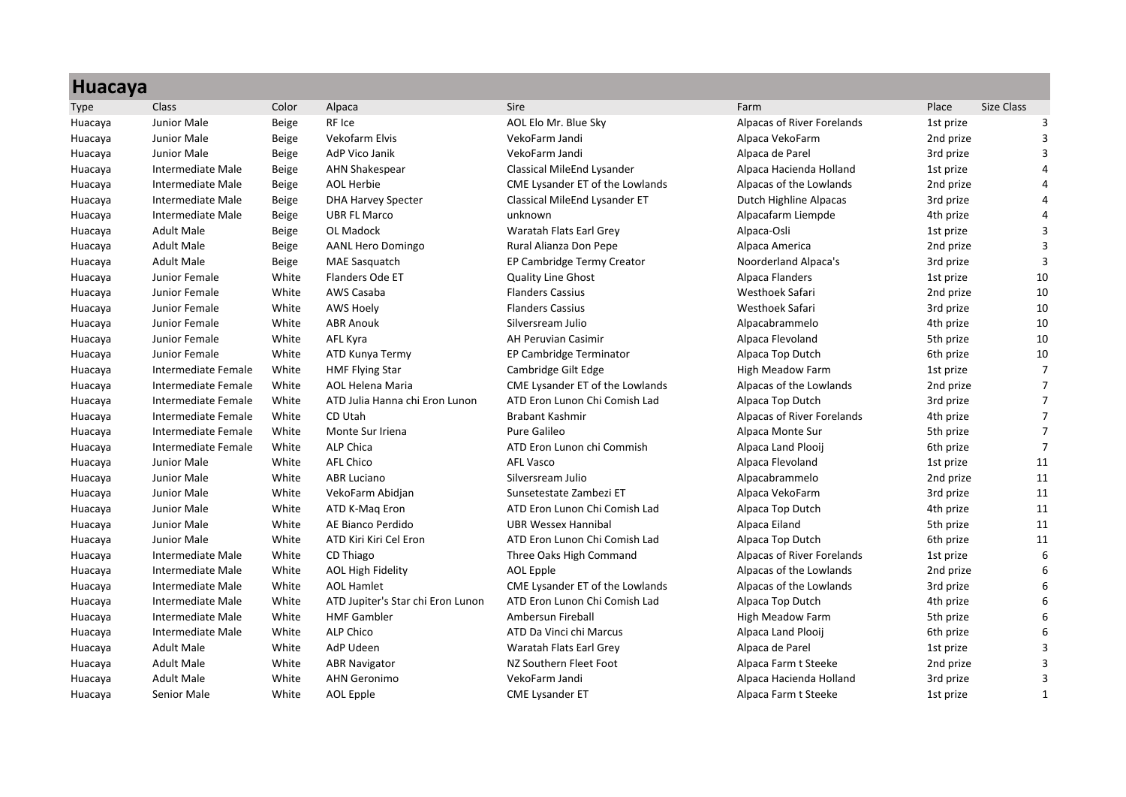|             | <b>Huacaya</b>           |              |                                   |                                 |                            |           |                |  |
|-------------|--------------------------|--------------|-----------------------------------|---------------------------------|----------------------------|-----------|----------------|--|
| <b>Type</b> | <b>Class</b>             | Color        | Alpaca                            | <b>Sire</b>                     | Farm                       | Place     | Size Class     |  |
| Huacaya     | Junior Male              | Beige        | RF Ice                            | AOL Elo Mr. Blue Sky            | Alpacas of River Forelands | 1st prize | 3              |  |
| Huacaya     | Junior Male              | <b>Beige</b> | <b>Vekofarm Elvis</b>             | VekoFarm Jandi                  | Alpaca VekoFarm            | 2nd prize | 3              |  |
| Huacaya     | Junior Male              | Beige        | AdP Vico Janik                    | VekoFarm Jandi                  | Alpaca de Parel            | 3rd prize | 3              |  |
| Huacaya     | Intermediate Male        | Beige        | <b>AHN Shakespear</b>             | Classical MileEnd Lysander      | Alpaca Hacienda Holland    | 1st prize | $\Lambda$      |  |
| Huacaya     | Intermediate Male        | Beige        | <b>AOL Herbie</b>                 | CME Lysander ET of the Lowlands | Alpacas of the Lowlands    | 2nd prize |                |  |
| Huacaya     | Intermediate Male        | Beige        | <b>DHA Harvey Specter</b>         | Classical MileEnd Lysander ET   | Dutch Highline Alpacas     | 3rd prize | 4              |  |
| Huacaya     | Intermediate Male        | Beige        | <b>UBR FL Marco</b>               | unknown                         | Alpacafarm Liempde         | 4th prize | 4              |  |
| Huacaya     | <b>Adult Male</b>        | Beige        | OL Madock                         | Waratah Flats Earl Grey         | Alpaca-Osli                | 1st prize | 3              |  |
| Huacaya     | <b>Adult Male</b>        | Beige        | <b>AANL Hero Domingo</b>          | Rural Alianza Don Pepe          | Alpaca America             | 2nd prize | 3              |  |
| Huacaya     | <b>Adult Male</b>        | Beige        | <b>MAE Sasquatch</b>              | EP Cambridge Termy Creator      | Noorderland Alpaca's       | 3rd prize | 3              |  |
| Huacaya     | Junior Female            | White        | Flanders Ode ET                   | <b>Quality Line Ghost</b>       | Alpaca Flanders            | 1st prize | 10             |  |
| Huacaya     | Junior Female            | White        | AWS Casaba                        | <b>Flanders Cassius</b>         | Westhoek Safari            | 2nd prize | 10             |  |
| Huacaya     | Junior Female            | White        | <b>AWS Hoely</b>                  | <b>Flanders Cassius</b>         | Westhoek Safari            | 3rd prize | 10             |  |
| Huacaya     | Junior Female            | White        | <b>ABR Anouk</b>                  | Silversream Julio               | Alpacabrammelo             | 4th prize | 10             |  |
| Huacaya     | Junior Female            | White        | AFL Kyra                          | <b>AH Peruvian Casimir</b>      | Alpaca Flevoland           | 5th prize | 10             |  |
| Huacaya     | Junior Female            | White        | ATD Kunya Termy                   | EP Cambridge Terminator         | Alpaca Top Dutch           | 6th prize | 10             |  |
| Huacaya     | Intermediate Female      | White        | <b>HMF Flying Star</b>            | Cambridge Gilt Edge             | <b>High Meadow Farm</b>    | 1st prize | $\overline{7}$ |  |
| Huacaya     | Intermediate Female      | White        | <b>AOL Helena Maria</b>           | CME Lysander ET of the Lowlands | Alpacas of the Lowlands    | 2nd prize | $\overline{7}$ |  |
| Huacaya     | Intermediate Female      | White        | ATD Julia Hanna chi Eron Lunon    | ATD Eron Lunon Chi Comish Lad   | Alpaca Top Dutch           | 3rd prize | $\overline{7}$ |  |
| Huacaya     | Intermediate Female      | White        | CD Utah                           | <b>Brabant Kashmir</b>          | Alpacas of River Forelands | 4th prize | $\overline{7}$ |  |
| Huacaya     | Intermediate Female      | White        | Monte Sur Iriena                  | Pure Galileo                    | Alpaca Monte Sur           | 5th prize | $\overline{7}$ |  |
| Huacaya     | Intermediate Female      | White        | <b>ALP Chica</b>                  | ATD Eron Lunon chi Commish      | Alpaca Land Plooij         | 6th prize | $\overline{7}$ |  |
| Huacaya     | Junior Male              | White        | <b>AFL Chico</b>                  | <b>AFL Vasco</b>                | Alpaca Flevoland           | 1st prize | 11             |  |
| Huacaya     | Junior Male              | White        | <b>ABR Luciano</b>                | Silversream Julio               | Alpacabrammelo             | 2nd prize | 11             |  |
| Huacaya     | Junior Male              | White        | VekoFarm Abidjan                  | Sunsetestate Zambezi ET         | Alpaca VekoFarm            | 3rd prize | 11             |  |
| Huacaya     | Junior Male              | White        | ATD K-Mag Eron                    | ATD Eron Lunon Chi Comish Lad   | Alpaca Top Dutch           | 4th prize | 11             |  |
| Huacaya     | Junior Male              | White        | AE Bianco Perdido                 | <b>UBR Wessex Hannibal</b>      | Alpaca Eiland              | 5th prize | 11             |  |
| Huacaya     | Junior Male              | White        | ATD Kiri Kiri Cel Eron            | ATD Eron Lunon Chi Comish Lad   | Alpaca Top Dutch           | 6th prize | 11             |  |
| Huacaya     | Intermediate Male        | White        | CD Thiago                         | Three Oaks High Command         | Alpacas of River Forelands | 1st prize | 6              |  |
| Huacaya     | Intermediate Male        | White        | <b>AOL High Fidelity</b>          | <b>AOL Epple</b>                | Alpacas of the Lowlands    | 2nd prize | 6              |  |
| Huacaya     | Intermediate Male        | White        | <b>AOL Hamlet</b>                 | CME Lysander ET of the Lowlands | Alpacas of the Lowlands    | 3rd prize | $\sqrt{2}$     |  |
| Huacaya     | Intermediate Male        | White        | ATD Jupiter's Star chi Eron Lunon | ATD Eron Lunon Chi Comish Lad   | Alpaca Top Dutch           | 4th prize | 6              |  |
| Huacaya     | Intermediate Male        | White        | <b>HMF Gambler</b>                | Ambersun Fireball               | <b>High Meadow Farm</b>    | 5th prize | 6              |  |
| Huacaya     | <b>Intermediate Male</b> | White        | <b>ALP Chico</b>                  | ATD Da Vinci chi Marcus         | Alpaca Land Plooij         | 6th prize | 6              |  |
| Huacaya     | <b>Adult Male</b>        | White        | AdP Udeen                         | Waratah Flats Earl Grey         | Alpaca de Parel            | 1st prize | 3              |  |
| Huacaya     | <b>Adult Male</b>        | White        | <b>ABR Navigator</b>              | NZ Southern Fleet Foot          | Alpaca Farm t Steeke       | 2nd prize | 3              |  |
| Huacaya     | <b>Adult Male</b>        | White        | <b>AHN Geronimo</b>               | VekoFarm Jandi                  | Alpaca Hacienda Holland    | 3rd prize | 3              |  |
| Huacaya     | <b>Senior Male</b>       | White        | <b>AOL Epple</b>                  | <b>CME Lysander ET</b>          | Alpaca Farm t Steeke       | 1st prize | 1              |  |